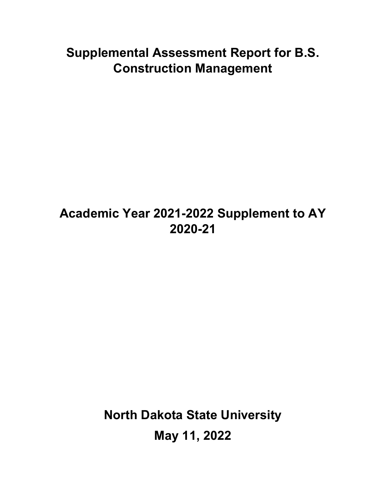# **Supplemental Assessment Report for B.S. Construction Management**

## **Academic Year 2021-2022 Supplement to AY 2020-21**

**North Dakota State University May 11, 2022**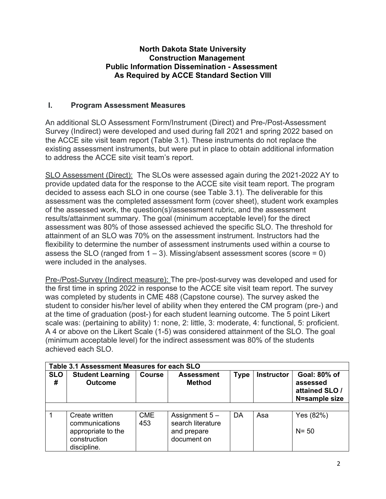#### **North Dakota State University Construction Management Public Information Dissemination - Assessment As Required by ACCE Standard Section VIII**

### **I. Program Assessment Measures**

An additional SLO Assessment Form/Instrument (Direct) and Pre-/Post-Assessment Survey (Indirect) were developed and used during fall 2021 and spring 2022 based on the ACCE site visit team report (Table 3.1). These instruments do not replace the existing assessment instruments, but were put in place to obtain additional information to address the ACCE site visit team's report.

SLO Assessment (Direct): The SLOs were assessed again during the 2021-2022 AY to provide updated data for the response to the ACCE site visit team report. The program decided to assess each SLO in one course (see Table 3.1). The deliverable for this assessment was the completed assessment form (cover sheet), student work examples of the assessed work, the question(s)/assessment rubric, and the assessment results/attainment summary. The goal (minimum acceptable level) for the direct assessment was 80% of those assessed achieved the specific SLO. The threshold for attainment of an SLO was 70% on the assessment instrument. Instructors had the flexibility to determine the number of assessment instruments used within a course to assess the SLO (ranged from  $1 - 3$ ). Missing/absent assessment scores (score = 0) were included in the analyses.

Pre-/Post-Survey (Indirect measure): The pre-/post-survey was developed and used for the first time in spring 2022 in response to the ACCE site visit team report. The survey was completed by students in CME 488 (Capstone course). The survey asked the student to consider his/her level of ability when they entered the CM program (pre-) and at the time of graduation (post-) for each student learning outcome. The 5 point Likert scale was: (pertaining to ability) 1: none, 2: little, 3: moderate, 4: functional, 5: proficient. A 4 or above on the Likert Scale (1-5) was considered attainment of the SLO. The goal (minimum acceptable level) for the indirect assessment was 80% of the students achieved each SLO.

| Table 3.1 Assessment Measures for each SLO |                                                                                       |                   |                                                                    |             |                   |                                                             |  |  |  |
|--------------------------------------------|---------------------------------------------------------------------------------------|-------------------|--------------------------------------------------------------------|-------------|-------------------|-------------------------------------------------------------|--|--|--|
| <b>SLO</b><br>#                            | <b>Student Learning</b><br><b>Outcome</b>                                             | <b>Course</b>     | <b>Assessment</b><br><b>Method</b>                                 | <b>Type</b> | <b>Instructor</b> | Goal: 80% of<br>assessed<br>attained SLO /<br>N=sample size |  |  |  |
|                                            |                                                                                       |                   |                                                                    |             |                   |                                                             |  |  |  |
|                                            | Create written<br>communications<br>appropriate to the<br>construction<br>discipline. | <b>CME</b><br>453 | Assignment $5-$<br>search literature<br>and prepare<br>document on | DA          | Asa               | Yes (82%)<br>$N = 50$                                       |  |  |  |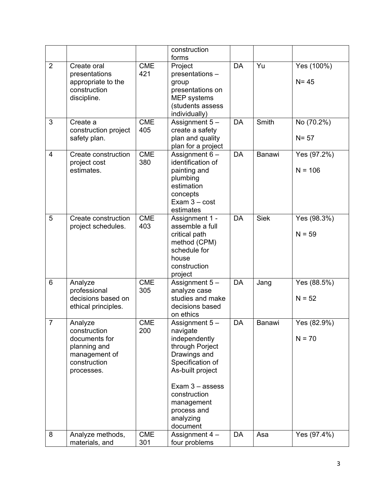|                |                                                                                                         |                   | construction<br>forms                                                                                                                                                                                            |           |             |                          |
|----------------|---------------------------------------------------------------------------------------------------------|-------------------|------------------------------------------------------------------------------------------------------------------------------------------------------------------------------------------------------------------|-----------|-------------|--------------------------|
| $\overline{2}$ | Create oral<br>presentations<br>appropriate to the<br>construction<br>discipline.                       | <b>CME</b><br>421 | Project<br>presentations -<br>group<br>presentations on<br><b>MEP</b> systems<br>(students assess<br>individually)                                                                                               | <b>DA</b> | Yu          | Yes (100%)<br>$N = 45$   |
| 3              | Create a<br>construction project<br>safety plan.                                                        | <b>CME</b><br>405 | Assignment $5-$<br>create a safety<br>plan and quality<br>plan for a project                                                                                                                                     | <b>DA</b> | Smith       | No (70.2%)<br>$N = 57$   |
| $\overline{4}$ | Create construction<br>project cost<br>estimates.                                                       | <b>CME</b><br>380 | Assignment $6 -$<br>identification of<br>painting and<br>plumbing<br>estimation<br>concepts<br>Exam $3 - cost$<br>estimates                                                                                      | <b>DA</b> | Banawi      | Yes (97.2%)<br>$N = 106$ |
| 5              | Create construction<br>project schedules.                                                               | <b>CME</b><br>403 | Assignment 1 -<br>assemble a full<br>critical path<br>method (CPM)<br>schedule for<br>house<br>construction<br>project                                                                                           | <b>DA</b> | <b>Siek</b> | Yes (98.3%)<br>$N = 59$  |
| 6              | Analyze<br>professional<br>decisions based on<br>ethical principles.                                    | <b>CME</b><br>305 | Assignment $5-$<br>analyze case<br>studies and make<br>decisions based<br>on ethics                                                                                                                              | <b>DA</b> | Jang        | Yes (88.5%)<br>$N = 52$  |
| $\overline{7}$ | Analyze<br>construction<br>documents for<br>planning and<br>management of<br>construction<br>processes. | <b>CME</b><br>200 | Assignment 5-<br>navigate<br>independently<br>through Porject<br>Drawings and<br>Specification of<br>As-built project<br>Exam $3 -$ assess<br>construction<br>management<br>process and<br>analyzing<br>document | DA        | Banawi      | Yes (82.9%)<br>$N = 70$  |
| 8              | Analyze methods,<br>materials, and                                                                      | <b>CME</b><br>301 | Assignment $4 -$<br>four problems                                                                                                                                                                                | <b>DA</b> | Asa         | Yes (97.4%)              |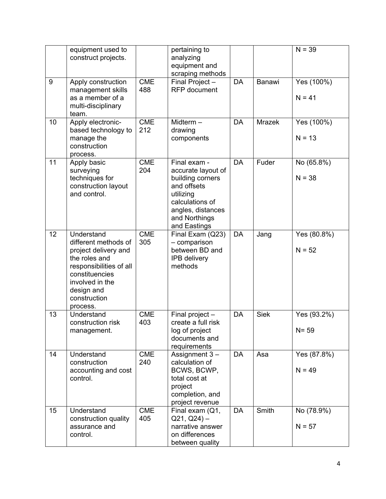|    | equipment used to<br>construct projects.                                                                                                                                              |                   | pertaining to<br>analyzing<br>equipment and<br>scraping methods                                                                                             |           |               | $N = 39$                |
|----|---------------------------------------------------------------------------------------------------------------------------------------------------------------------------------------|-------------------|-------------------------------------------------------------------------------------------------------------------------------------------------------------|-----------|---------------|-------------------------|
| 9  | Apply construction<br>management skills<br>as a member of a<br>multi-disciplinary<br>team.                                                                                            | <b>CME</b><br>488 | Final Project-<br><b>RFP</b> document                                                                                                                       | <b>DA</b> | Banawi        | Yes (100%)<br>$N = 41$  |
| 10 | Apply electronic-<br>based technology to<br>manage the<br>construction<br>process.                                                                                                    | <b>CME</b><br>212 | Midterm $-$<br>drawing<br>components                                                                                                                        | <b>DA</b> | <b>Mrazek</b> | Yes (100%)<br>$N = 13$  |
| 11 | Apply basic<br>surveying<br>techniques for<br>construction layout<br>and control.                                                                                                     | <b>CME</b><br>204 | Final exam -<br>accurate layout of<br>building corners<br>and offsets<br>utilizing<br>calculations of<br>angles, distances<br>and Northings<br>and Eastings | <b>DA</b> | Fuder         | No (65.8%)<br>$N = 38$  |
| 12 | Understand<br>different methods of<br>project delivery and<br>the roles and<br>responsibilities of all<br>constituencies<br>involved in the<br>design and<br>construction<br>process. | <b>CME</b><br>305 | Final Exam (Q23)<br>- comparison<br>between BD and<br><b>IPB</b> delivery<br>methods                                                                        | <b>DA</b> | Jang          | Yes (80.8%)<br>$N = 52$ |
| 13 | Understand<br>construction risk<br>management.                                                                                                                                        | <b>CME</b><br>403 | Final project -<br>create a full risk<br>log of project<br>documents and<br>requirements                                                                    | DA        | <b>Siek</b>   | Yes (93.2%)<br>$N = 59$ |
| 14 | Understand<br>construction<br>accounting and cost<br>control.                                                                                                                         | <b>CME</b><br>240 | Assignment 3-<br>calculation of<br>BCWS, BCWP,<br>total cost at<br>project<br>completion, and<br>project revenue                                            | <b>DA</b> | Asa           | Yes (87.8%)<br>$N = 49$ |
| 15 | Understand<br>construction quality<br>assurance and<br>control.                                                                                                                       | <b>CME</b><br>405 | Final exam (Q1,<br>$Q21, Q24$ ) –<br>narrative answer<br>on differences<br>between quality                                                                  | <b>DA</b> | Smith         | No (78.9%)<br>$N = 57$  |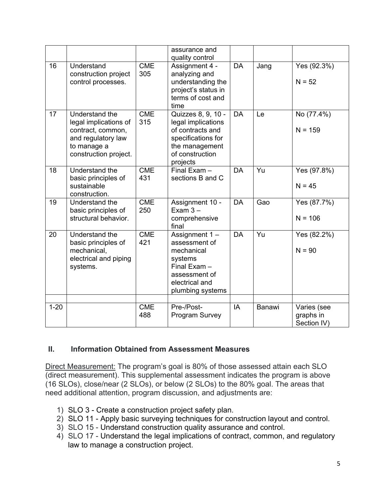|          |                                                                                                                            |                   | assurance and<br>quality control                                                                                                    |           |        |                                         |
|----------|----------------------------------------------------------------------------------------------------------------------------|-------------------|-------------------------------------------------------------------------------------------------------------------------------------|-----------|--------|-----------------------------------------|
| 16       | Understand<br>construction project<br>control processes.                                                                   | <b>CME</b><br>305 | Assignment 4 -<br>analyzing and<br>understanding the<br>project's status in<br>terms of cost and<br>time                            | <b>DA</b> | Jang   | Yes (92.3%)<br>$N = 52$                 |
| 17       | Understand the<br>legal implications of<br>contract, common,<br>and regulatory law<br>to manage a<br>construction project. | <b>CME</b><br>315 | Quizzes 8, 9, 10 -<br>legal implications<br>of contracts and<br>specifications for<br>the management<br>of construction<br>projects | <b>DA</b> | Le     | No (77.4%)<br>$N = 159$                 |
| 18       | Understand the<br>basic principles of<br>sustainable<br>construction.                                                      | <b>CME</b><br>431 | Final Exam -<br>sections B and C                                                                                                    | <b>DA</b> | Yu     | Yes (97.8%)<br>$N = 45$                 |
| 19       | Understand the<br>basic principles of<br>structural behavior.                                                              | <b>CME</b><br>250 | Assignment 10 -<br>Exam $3 -$<br>comprehensive<br>final                                                                             | <b>DA</b> | Gao    | Yes (87.7%)<br>$N = 106$                |
| 20       | Understand the<br>basic principles of<br>mechanical,<br>electrical and piping<br>systems.                                  | <b>CME</b><br>421 | Assignment 1-<br>assessment of<br>mechanical<br>systems<br>Final Exam -<br>assessment of<br>electrical and<br>plumbing systems      | <b>DA</b> | Yu     | Yes (82.2%)<br>$N = 90$                 |
| $1 - 20$ |                                                                                                                            | <b>CME</b><br>488 | Pre-/Post-<br>Program Survey                                                                                                        | IA        | Banawi | Varies (see<br>graphs in<br>Section IV) |

#### **II. Information Obtained from Assessment Measures**

Direct Measurement: The program's goal is 80% of those assessed attain each SLO (direct measurement). This supplemental assessment indicates the program is above (16 SLOs), close/near (2 SLOs), or below (2 SLOs) to the 80% goal. The areas that need additional attention, program discussion, and adjustments are:

- 1) SLO 3 Create a construction project safety plan.
- 2) SLO 11 Apply basic surveying techniques for construction layout and control.
- 3) SLO 15 Understand construction quality assurance and control.
- 4) SLO 17 Understand the legal implications of contract, common, and regulatory law to manage a construction project.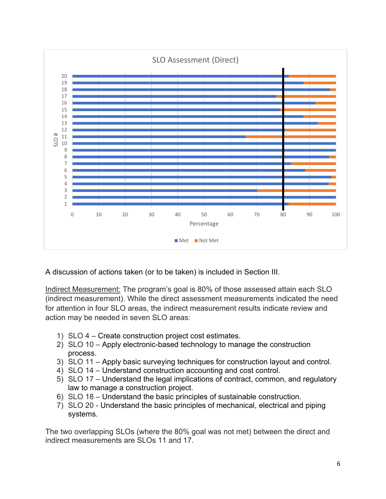

A discussion of actions taken (or to be taken) is included in Section III.

Indirect Measurement: The program's goal is 80% of those assessed attain each SLO (indirect measurement). While the direct assessment measurements indicated the need for attention in four SLO areas, the indirect measurement results indicate review and action may be needed in seven SLO areas:

- 1) SLO 4 Create construction project cost estimates.
- 2) SLO 10 Apply electronic-based technology to manage the construction process.
- 3) SLO 11 Apply basic surveying techniques for construction layout and control.
- 4) SLO 14 Understand construction accounting and cost control.
- 5) SLO 17 Understand the legal implications of contract, common, and regulatory law to manage a construction project.
- 6) SLO 18 Understand the basic principles of sustainable construction.
- 7) SLO 20 Understand the basic principles of mechanical, electrical and piping systems.

The two overlapping SLOs (where the 80% goal was not met) between the direct and indirect measurements are SLOs 11 and 17.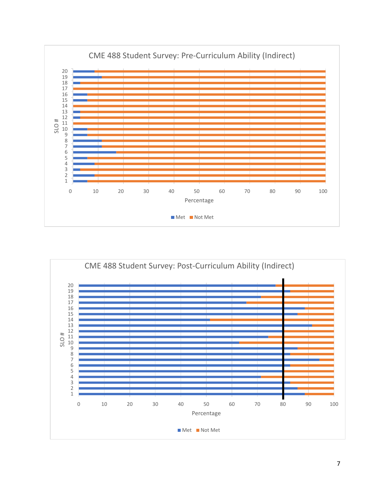

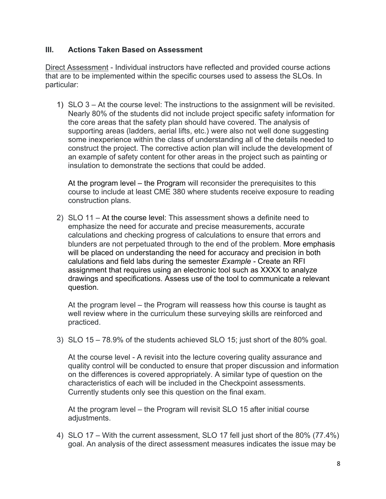## **III. Actions Taken Based on Assessment**

Direct Assessment - Individual instructors have reflected and provided course actions that are to be implemented within the specific courses used to assess the SLOs. In particular:

1) SLO 3 – At the course level: The instructions to the assignment will be revisited. Nearly 80% of the students did not include project specific safety information for the core areas that the safety plan should have covered. The analysis of supporting areas (ladders, aerial lifts, etc.) were also not well done suggesting some inexperience within the class of understanding all of the details needed to construct the project. The corrective action plan will include the development of an example of safety content for other areas in the project such as painting or insulation to demonstrate the sections that could be added.

At the program level – the Program will reconsider the prerequisites to this course to include at least CME 380 where students receive exposure to reading construction plans.

2) SLO 11 – At the course level: This assessment shows a definite need to emphasize the need for accurate and precise measurements, accurate calculations and checking progress of calculations to ensure that errors and blunders are not perpetuated through to the end of the problem. More emphasis will be placed on understanding the need for accuracy and precision in both calulations and field labs during the semester *Example -* Create an RFI assignment that requires using an electronic tool such as XXXX to analyze drawings and specifications. Assess use of the tool to communicate a relevant question.

At the program level – the Program will reassess how this course is taught as well review where in the curriculum these surveying skills are reinforced and practiced.

3) SLO 15 – 78.9% of the students achieved SLO 15; just short of the 80% goal.

At the course level - A revisit into the lecture covering quality assurance and quality control will be conducted to ensure that proper discussion and information on the differences is covered appropriately. A similar type of question on the characteristics of each will be included in the Checkpoint assessments. Currently students only see this question on the final exam.

At the program level – the Program will revisit SLO 15 after initial course adjustments.

4) SLO 17 – With the current assessment, SLO 17 fell just short of the 80% (77.4%) goal. An analysis of the direct assessment measures indicates the issue may be